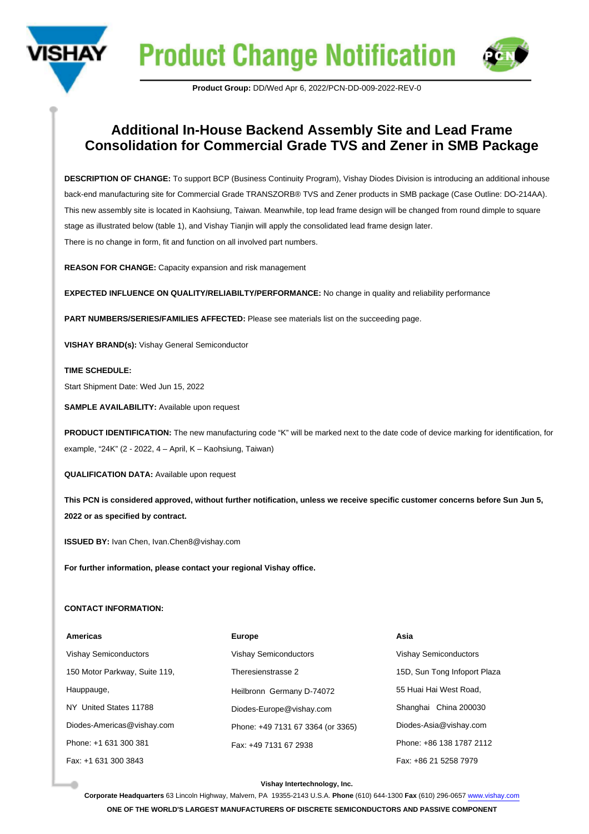



## **Additional In-House Backend Assembly Site and Lead Frame Consolidation for Commercial Grade TVS and Zener in SMB Package**

**DESCRIPTION OF CHANGE:** To support BCP (Business Continuity Program), Vishay Diodes Division is introducing an additional inhouse back-end manufacturing site for Commercial Grade TRANSZORB® TVS and Zener products in SMB package (Case Outline: DO-214AA). This new assembly site is located in Kaohsiung, Taiwan. Meanwhile, top lead frame design will be changed from round dimple to square stage as illustrated below (table 1), and Vishay Tianjin will apply the consolidated lead frame design later. There is no change in form, fit and function on all involved part numbers.

**REASON FOR CHANGE:** Capacity expansion and risk management

**EXPECTED INFLUENCE ON QUALITY/RELIABILTY/PERFORMANCE:** No change in quality and reliability performance

**PART NUMBERS/SERIES/FAMILIES AFFECTED:** Please see materials list on the succeeding page.

**VISHAY BRAND(s):** Vishay General Semiconductor

## **TIME SCHEDULE:**

Start Shipment Date: Wed Jun 15, 2022

**SAMPLE AVAILABILITY: Available upon request** 

**PRODUCT IDENTIFICATION:** The new manufacturing code "K" will be marked next to the date code of device marking for identification, for example, "24K" (2 - 2022, 4 – April, K – Kaohsiung, Taiwan)

**QUALIFICATION DATA:** Available upon request

**This PCN is considered approved, without further notification, unless we receive specific customer concerns before Sun Jun 5, 2022 or as specified by contract.**

**ISSUED BY:** Ivan Chen, Ivan.Chen8@vishay.com

**For further information, please contact your regional Vishay office.**

## **CONTACT INFORMATION:**

| Americas                      | <b>Europe</b>                     | Asia                         |
|-------------------------------|-----------------------------------|------------------------------|
| <b>Vishay Semiconductors</b>  | <b>Vishay Semiconductors</b>      | <b>Vishay Semiconductors</b> |
| 150 Motor Parkway, Suite 119, | Theresienstrasse 2                | 15D, Sun Tong Infoport Plaza |
| Hauppauge,                    | Heilbronn Germany D-74072         | 55 Huai Hai West Road.       |
| NY United States 11788        | Diodes-Europe@vishay.com          | Shanghai China 200030        |
| Diodes-Americas@vishay.com    | Phone: +49 7131 67 3364 (or 3365) | Diodes-Asia@vishay.com       |
| Phone: +1 631 300 381         | Fax: +49 7131 67 2938             | Phone: +86 138 1787 2112     |
| Fax: +1 631 300 3843          |                                   | Fax: +86 21 5258 7979        |

## **Vishay Intertechnology, Inc.**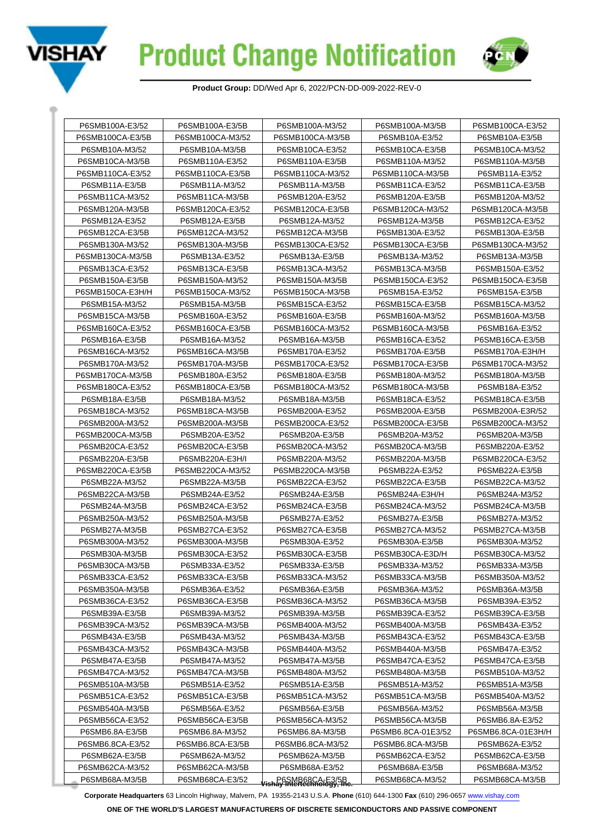



| P6SMB100A-E3/52                                                                                             | P6SMB100A-E3/5B                      | P6SMB100A-M3/52                               | P6SMB100A-M3/5B    | P6SMB100CA-E3/52   |
|-------------------------------------------------------------------------------------------------------------|--------------------------------------|-----------------------------------------------|--------------------|--------------------|
| P6SMB100CA-E3/5B                                                                                            | P6SMB100CA-M3/5B<br>P6SMB100CA-M3/52 |                                               | P6SMB10A-E3/52     | P6SMB10A-E3/5B     |
| P6SMB10A-M3/52                                                                                              | P6SMB10A-M3/5B<br>P6SMB10CA-E3/52    |                                               | P6SMB10CA-E3/5B    | P6SMB10CA-M3/52    |
| P6SMB10CA-M3/5B                                                                                             | P6SMB110A-E3/52                      | P6SMB110A-E3/5B                               | P6SMB110A-M3/52    | P6SMB110A-M3/5B    |
| P6SMB110CA-E3/52                                                                                            | P6SMB110CA-E3/5B                     | P6SMB110CA-M3/52                              | P6SMB110CA-M3/5B   | P6SMB11A-E3/52     |
| P6SMB11A-E3/5B                                                                                              | P6SMB11A-M3/52                       | P6SMB11A-M3/5B                                | P6SMB11CA-E3/52    | P6SMB11CA-E3/5B    |
| P6SMB11CA-M3/52                                                                                             | P6SMB11CA-M3/5B                      | P6SMB120A-E3/52                               | P6SMB120A-E3/5B    | P6SMB120A-M3/52    |
| P6SMB120A-M3/5B                                                                                             | P6SMB120CA-E3/52                     | P6SMB120CA-E3/5B                              | P6SMB120CA-M3/52   | P6SMB120CA-M3/5B   |
| P6SMB12A-E3/52                                                                                              | P6SMB12A-E3/5B                       | P6SMB12A-M3/52                                | P6SMB12A-M3/5B     | P6SMB12CA-E3/52    |
| P6SMB12CA-E3/5B                                                                                             | P6SMB12CA-M3/52                      | P6SMB12CA-M3/5B                               | P6SMB130A-E3/52    | P6SMB130A-E3/5B    |
| P6SMB130A-M3/52                                                                                             | P6SMB130A-M3/5B                      | P6SMB130CA-E3/52                              | P6SMB130CA-E3/5B   | P6SMB130CA-M3/52   |
| P6SMB130CA-M3/5B                                                                                            | P6SMB13A-E3/52                       | P6SMB13A-E3/5B                                | P6SMB13A-M3/52     | P6SMB13A-M3/5B     |
| P6SMB13CA-E3/52                                                                                             | P6SMB13CA-E3/5B                      | P6SMB13CA-M3/52                               | P6SMB13CA-M3/5B    | P6SMB150A-E3/52    |
| P6SMB150A-E3/5B                                                                                             | P6SMB150A-M3/52                      | P6SMB150A-M3/5B                               | P6SMB150CA-E3/52   | P6SMB150CA-E3/5B   |
| P6SMB150CA-E3H/H                                                                                            | P6SMB150CA-M3/52                     | P6SMB150CA-M3/5B                              | P6SMB15A-E3/52     | P6SMB15A-E3/5B     |
| P6SMB15A-M3/52                                                                                              | P6SMB15A-M3/5B                       | P6SMB15CA-E3/52                               | P6SMB15CA-E3/5B    | P6SMB15CA-M3/52    |
| P6SMB15CA-M3/5B                                                                                             | P6SMB160A-E3/52                      | P6SMB160A-E3/5B                               | P6SMB160A-M3/52    | P6SMB160A-M3/5B    |
| P6SMB160CA-E3/52                                                                                            | P6SMB160CA-E3/5B                     | P6SMB160CA-M3/52                              | P6SMB160CA-M3/5B   | P6SMB16A-E3/52     |
| P6SMB16A-E3/5B                                                                                              | P6SMB16A-M3/52                       | P6SMB16A-M3/5B                                | P6SMB16CA-E3/52    | P6SMB16CA-E3/5B    |
| P6SMB16CA-M3/52                                                                                             | P6SMB16CA-M3/5B                      | P6SMB170A-E3/52                               | P6SMB170A-E3/5B    | P6SMB170A-E3H/H    |
| P6SMB170A-M3/52                                                                                             | P6SMB170A-M3/5B                      | P6SMB170CA-E3/52                              | P6SMB170CA-E3/5B   | P6SMB170CA-M3/52   |
| P6SMB170CA-M3/5B                                                                                            | P6SMB180A-E3/52                      | P6SMB180A-E3/5B                               | P6SMB180A-M3/52    | P6SMB180A-M3/5B    |
| P6SMB180CA-E3/52                                                                                            | P6SMB180CA-E3/5B                     | P6SMB180CA-M3/52                              | P6SMB180CA-M3/5B   | P6SMB18A-E3/52     |
| P6SMB18A-E3/5B                                                                                              | P6SMB18A-M3/52                       | P6SMB18A-M3/5B                                | P6SMB18CA-E3/52    | P6SMB18CA-E3/5B    |
| P6SMB18CA-M3/52                                                                                             | P6SMB18CA-M3/5B                      | P6SMB200A-E3/52                               | P6SMB200A-E3/5B    | P6SMB200A-E3R/52   |
| P6SMB200A-M3/52                                                                                             | P6SMB200A-M3/5B                      | P6SMB200CA-E3/52                              | P6SMB200CA-E3/5B   | P6SMB200CA-M3/52   |
| P6SMB200CA-M3/5B                                                                                            | P6SMB20A-E3/52                       | P6SMB20A-E3/5B                                | P6SMB20A-M3/52     | P6SMB20A-M3/5B     |
| P6SMB20CA-E3/52                                                                                             | P6SMB20CA-E3/5B                      | P6SMB20CA-M3/52                               | P6SMB20CA-M3/5B    | P6SMB220A-E3/52    |
| P6SMB220A-E3/5B                                                                                             | P6SMB220A-E3H/I                      | P6SMB220A-M3/52                               | P6SMB220A-M3/5B    | P6SMB220CA-E3/52   |
| P6SMB220CA-E3/5B                                                                                            | P6SMB220CA-M3/52                     | P6SMB220CA-M3/5B                              | P6SMB22A-E3/52     | P6SMB22A-E3/5B     |
| P6SMB22A-M3/52                                                                                              | P6SMB22A-M3/5B                       | P6SMB22CA-E3/52                               | P6SMB22CA-E3/5B    | P6SMB22CA-M3/52    |
| P6SMB22CA-M3/5B                                                                                             | P6SMB24A-E3/52                       | P6SMB24A-E3/5B                                | P6SMB24A-E3H/H     | P6SMB24A-M3/52     |
| P6SMB24A-M3/5B                                                                                              | P6SMB24CA-E3/52                      | P6SMB24CA-E3/5B                               | P6SMB24CA-M3/52    | P6SMB24CA-M3/5B    |
| P6SMB250A-M3/52                                                                                             | P6SMB250A-M3/5B                      | P6SMB27A-E3/52                                | P6SMB27A-E3/5B     | P6SMB27A-M3/52     |
| P6SMB27A-M3/5B                                                                                              | P6SMB27CA-E3/52                      | P6SMB27CA-E3/5B                               | P6SMB27CA-M3/52    | P6SMB27CA-M3/5B    |
| P6SMB300A-M3/52                                                                                             | P6SMB300A-M3/5B                      | P6SMB30A-E3/52                                | P6SMB30A-E3/5B     | P6SMB30A-M3/52     |
| P6SMB30A-M3/5B                                                                                              | P6SMB30CA-E3/52                      | P6SMB30CA-E3/5B                               | P6SMB30CA-E3D/H    | P6SMB30CA-M3/52    |
| P6SMB30CA-M3/5B                                                                                             | P6SMB33A-E3/52                       | P6SMB33A-E3/5B                                | P6SMB33A-M3/52     | P6SMB33A-M3/5B     |
| P6SMB33CA-E3/52                                                                                             | P6SMB33CA-E3/5B                      | P6SMB33CA-M3/52                               | P6SMB33CA-M3/5B    | P6SMB350A-M3/52    |
| P6SMB350A-M3/5B                                                                                             | P6SMB36A-E3/52                       | P6SMB36A-E3/5B                                | P6SMB36A-M3/52     | P6SMB36A-M3/5B     |
| P6SMB36CA-E3/52                                                                                             | P6SMB36CA-E3/5B                      | P6SMB36CA-M3/52                               | P6SMB36CA-M3/5B    | P6SMB39A-E3/52     |
| P6SMB39A-E3/5B                                                                                              | P6SMB39A-M3/52                       | P6SMB39A-M3/5B                                | P6SMB39CA-E3/52    | P6SMB39CA-E3/5B    |
| P6SMB39CA-M3/52                                                                                             | P6SMB39CA-M3/5B                      | P6SMB400A-M3/52                               | P6SMB400A-M3/5B    | P6SMB43A-E3/52     |
| P6SMB43A-E3/5B                                                                                              | P6SMB43A-M3/52                       | P6SMB43A-M3/5B                                | P6SMB43CA-E3/52    | P6SMB43CA-E3/5B    |
| P6SMB43CA-M3/52                                                                                             | P6SMB43CA-M3/5B                      | P6SMB440A-M3/52                               | P6SMB440A-M3/5B    | P6SMB47A-E3/52     |
| P6SMB47A-E3/5B<br>P6SMB47A-M3/52<br>P6SMB47CA-M3/52<br>P6SMB47CA-M3/5B<br>P6SMB510A-M3/5B<br>P6SMB51A-E3/52 |                                      | P6SMB47A-M3/5B                                | P6SMB47CA-E3/52    | P6SMB47CA-E3/5B    |
|                                                                                                             |                                      | P6SMB480A-M3/52                               | P6SMB480A-M3/5B    | P6SMB510A-M3/52    |
|                                                                                                             |                                      | P6SMB51A-E3/5B                                | P6SMB51A-M3/52     | P6SMB51A-M3/5B     |
| P6SMB51CA-E3/52                                                                                             | P6SMB51CA-E3/5B                      | P6SMB51CA-M3/52                               | P6SMB51CA-M3/5B    | P6SMB540A-M3/52    |
| P6SMB540A-M3/5B                                                                                             | P6SMB56A-E3/52                       | P6SMB56A-E3/5B                                | P6SMB56A-M3/52     | P6SMB56A-M3/5B     |
| P6SMB56CA-E3/52                                                                                             | P6SMB56CA-E3/5B                      | P6SMB56CA-M3/52                               | P6SMB56CA-M3/5B    | P6SMB6.8A-E3/52    |
| P6SMB6.8A-E3/5B                                                                                             | P6SMB6.8A-M3/52                      | P6SMB6.8A-M3/5B                               | P6SMB6.8CA-01E3/52 | P6SMB6.8CA-01E3H/H |
| P6SMB6.8CA-E3/52                                                                                            | P6SMB6.8CA-E3/5B                     | P6SMB6.8CA-M3/52                              | P6SMB6.8CA-M3/5B   | P6SMB62A-E3/52     |
| P6SMB62A-E3/5B                                                                                              | P6SMB62A-M3/52                       | P6SMB62A-M3/5B                                | P6SMB62CA-E3/52    | P6SMB62CA-E3/5B    |
| P6SMB62CA-M3/52                                                                                             | P6SMB62CA-M3/5B                      | P6SMB68A-E3/52                                | P6SMB68A-E3/5B     | P6SMB68A-M3/52     |
| P6SMB68A-M3/5B                                                                                              | P6SMB68CA-E3/52                      | P6SMB68CA-E3/5B<br>Shay Intertechnology, Inc. | P6SMB68CA-M3/52    | P6SMB68CA-M3/5B    |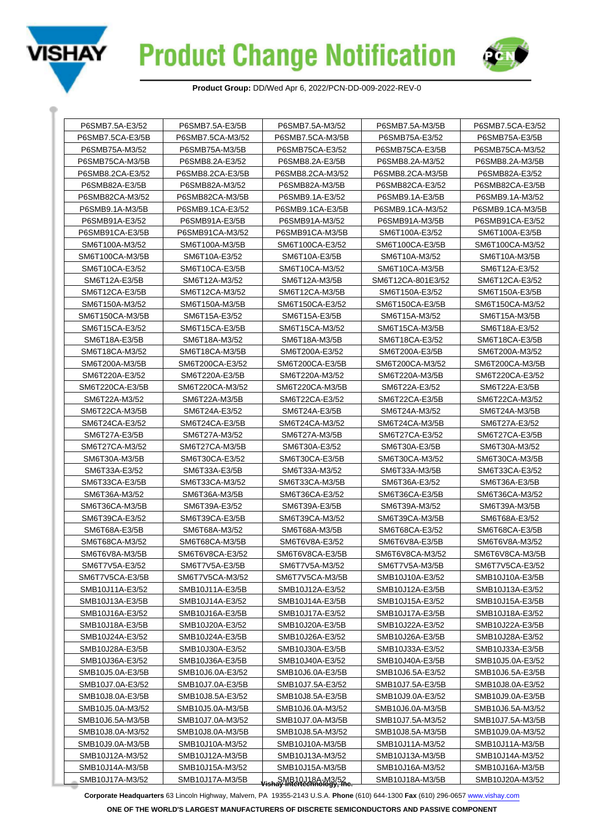



| P6SMB7.5CA-E3/5B<br>P6SMB7.5CA-M3/52<br>P6SMB7.5CA-M3/5B<br>P6SMB75A-E3/52<br>P6SMB75A-E3/5B<br>P6SMB75A-M3/52<br>P6SMB75A-M3/5B<br>P6SMB75CA-E3/52<br>P6SMB75CA-E3/5B<br>P6SMB75CA-M3/52<br>P6SMB75CA-M3/5B<br>P6SMB8.2A-E3/52<br>P6SMB8.2A-E3/5B<br>P6SMB8.2A-M3/52<br>P6SMB8.2A-M3/5B<br>P6SMB8.2CA-E3/52<br>P6SMB8.2CA-E3/5B<br>P6SMB8.2CA-M3/52<br>P6SMB8.2CA-M3/5B<br>P6SMB82A-E3/52<br>P6SMB82A-E3/5B<br>P6SMB82A-M3/52<br>P6SMB82A-M3/5B<br>P6SMB82CA-E3/52<br>P6SMB82CA-E3/5B<br>P6SMB9.1A-M3/52<br>P6SMB82CA-M3/52<br>P6SMB82CA-M3/5B<br>P6SMB9.1A-E3/52<br>P6SMB9.1A-E3/5B<br>P6SMB9.1CA-M3/5B<br>P6SMB9.1A-M3/5B<br>P6SMB9.1CA-E3/52<br>P6SMB9.1CA-E3/5B<br>P6SMB9.1CA-M3/52<br>P6SMB91A-E3/52<br>P6SMB91A-E3/5B<br>P6SMB91A-M3/52<br>P6SMB91A-M3/5B<br>P6SMB91CA-E3/52<br>P6SMB91CA-E3/5B<br>P6SMB91CA-M3/52<br>P6SMB91CA-M3/5B<br>SM6T100A-E3/52<br>SM6T100A-E3/5B<br>SM6T100A-M3/52<br>SM6T100A-M3/5B<br>SM6T100CA-E3/52<br>SM6T100CA-E3/5B<br>SM6T100CA-M3/52<br>SM6T100CA-M3/5B<br>SM6T10A-E3/52<br>SM6T10A-E3/5B<br>SM6T10A-M3/52<br>SM6T10A-M3/5B<br>SM6T10CA-E3/52<br>SM6T10CA-E3/5B<br>SM6T10CA-M3/52<br>SM6T10CA-M3/5B<br>SM6T12A-E3/52<br>SM6T12A-E3/5B<br>SM6T12A-M3/52<br>SM6T12A-M3/5B<br>SM6T12CA-801E3/52<br>SM6T12CA-E3/52<br>SM6T12CA-E3/5B<br>SM6T12CA-M3/52<br>SM6T12CA-M3/5B<br>SM6T150A-E3/52<br>SM6T150A-E3/5B<br>SM6T150A-M3/52<br>SM6T150A-M3/5B<br>SM6T150CA-E3/52<br>SM6T150CA-E3/5B<br>SM6T150CA-M3/52<br>SM6T150CA-M3/5B<br>SM6T15A-E3/52<br>SM6T15A-E3/5B<br>SM6T15A-M3/52<br>SM6T15A-M3/5B<br>SM6T15CA-E3/52<br>SM6T15CA-E3/5B<br>SM6T15CA-M3/52<br>SM6T15CA-M3/5B<br>SM6T18A-E3/52<br>SM6T18A-E3/5B<br>SM6T18A-M3/52<br>SM6T18A-M3/5B<br>SM6T18CA-E3/52<br>SM6T18CA-E3/5B<br>SM6T18CA-M3/52<br>SM6T18CA-M3/5B<br>SM6T200A-E3/52<br>SM6T200A-E3/5B<br>SM6T200A-M3/52<br>SM6T200A-M3/5B<br>SM6T200CA-E3/5B<br>SM6T200CA-E3/52<br>SM6T200CA-M3/52<br>SM6T200CA-M3/5B<br>SM6T220A-E3/52<br>SM6T220A-E3/5B<br>SM6T220A-M3/52<br>SM6T220A-M3/5B<br>SM6T220CA-E3/52<br>SM6T220CA-E3/5B<br>SM6T220CA-M3/5B<br>SM6T220CA-M3/52<br>SM6T22A-E3/52<br>SM6T22A-E3/5B<br>SM6T22A-M3/52<br>SM6T22A-M3/5B<br>SM6T22CA-E3/52<br>SM6T22CA-E3/5B<br>SM6T22CA-M3/52<br>SM6T22CA-M3/5B<br>SM6T24A-E3/52<br>SM6T24A-E3/5B<br>SM6T24A-M3/52<br>SM6T24A-M3/5B<br>SM6T24CA-E3/52<br>SM6T24CA-E3/5B<br>SM6T24CA-M3/52<br>SM6T24CA-M3/5B<br>SM6T27A-E3/52<br>SM6T27A-E3/5B<br>SM6T27A-M3/52<br>SM6T27A-M3/5B<br>SM6T27CA-E3/52<br>SM6T27CA-E3/5B<br>SM6T27CA-M3/52<br>SM6T27CA-M3/5B<br>SM6T30A-E3/52<br>SM6T30A-E3/5B<br>SM6T30A-M3/52<br>SM6T30A-M3/5B<br>SM6T30CA-M3/5B<br>SM6T30CA-E3/52<br>SM6T30CA-E3/5B<br>SM6T30CA-M3/52<br>SM6T33A-E3/52<br>SM6T33A-E3/5B<br>SM6T33A-M3/52<br>SM6T33A-M3/5B<br>SM6T33CA-E3/52<br>SM6T33CA-E3/5B<br>SM6T33CA-M3/5B<br>SM6T33CA-M3/52<br>SM6T36A-E3/52<br>SM6T36A-E3/5B<br>SM6T36A-M3/52<br>SM6T36A-M3/5B<br>SM6T36CA-E3/52<br>SM6T36CA-E3/5B<br>SM6T36CA-M3/52 |
|-------------------------------------------------------------------------------------------------------------------------------------------------------------------------------------------------------------------------------------------------------------------------------------------------------------------------------------------------------------------------------------------------------------------------------------------------------------------------------------------------------------------------------------------------------------------------------------------------------------------------------------------------------------------------------------------------------------------------------------------------------------------------------------------------------------------------------------------------------------------------------------------------------------------------------------------------------------------------------------------------------------------------------------------------------------------------------------------------------------------------------------------------------------------------------------------------------------------------------------------------------------------------------------------------------------------------------------------------------------------------------------------------------------------------------------------------------------------------------------------------------------------------------------------------------------------------------------------------------------------------------------------------------------------------------------------------------------------------------------------------------------------------------------------------------------------------------------------------------------------------------------------------------------------------------------------------------------------------------------------------------------------------------------------------------------------------------------------------------------------------------------------------------------------------------------------------------------------------------------------------------------------------------------------------------------------------------------------------------------------------------------------------------------------------------------------------------------------------------------------------------------------------------------------------------------------------------------------------------------------------------------------------------------------------------------------------------------------------------------------------------------------------------------------------------------------------------------------------------------------------------------------------------------------------|
|                                                                                                                                                                                                                                                                                                                                                                                                                                                                                                                                                                                                                                                                                                                                                                                                                                                                                                                                                                                                                                                                                                                                                                                                                                                                                                                                                                                                                                                                                                                                                                                                                                                                                                                                                                                                                                                                                                                                                                                                                                                                                                                                                                                                                                                                                                                                                                                                                                                                                                                                                                                                                                                                                                                                                                                                                                                                                                                         |
|                                                                                                                                                                                                                                                                                                                                                                                                                                                                                                                                                                                                                                                                                                                                                                                                                                                                                                                                                                                                                                                                                                                                                                                                                                                                                                                                                                                                                                                                                                                                                                                                                                                                                                                                                                                                                                                                                                                                                                                                                                                                                                                                                                                                                                                                                                                                                                                                                                                                                                                                                                                                                                                                                                                                                                                                                                                                                                                         |
|                                                                                                                                                                                                                                                                                                                                                                                                                                                                                                                                                                                                                                                                                                                                                                                                                                                                                                                                                                                                                                                                                                                                                                                                                                                                                                                                                                                                                                                                                                                                                                                                                                                                                                                                                                                                                                                                                                                                                                                                                                                                                                                                                                                                                                                                                                                                                                                                                                                                                                                                                                                                                                                                                                                                                                                                                                                                                                                         |
|                                                                                                                                                                                                                                                                                                                                                                                                                                                                                                                                                                                                                                                                                                                                                                                                                                                                                                                                                                                                                                                                                                                                                                                                                                                                                                                                                                                                                                                                                                                                                                                                                                                                                                                                                                                                                                                                                                                                                                                                                                                                                                                                                                                                                                                                                                                                                                                                                                                                                                                                                                                                                                                                                                                                                                                                                                                                                                                         |
|                                                                                                                                                                                                                                                                                                                                                                                                                                                                                                                                                                                                                                                                                                                                                                                                                                                                                                                                                                                                                                                                                                                                                                                                                                                                                                                                                                                                                                                                                                                                                                                                                                                                                                                                                                                                                                                                                                                                                                                                                                                                                                                                                                                                                                                                                                                                                                                                                                                                                                                                                                                                                                                                                                                                                                                                                                                                                                                         |
|                                                                                                                                                                                                                                                                                                                                                                                                                                                                                                                                                                                                                                                                                                                                                                                                                                                                                                                                                                                                                                                                                                                                                                                                                                                                                                                                                                                                                                                                                                                                                                                                                                                                                                                                                                                                                                                                                                                                                                                                                                                                                                                                                                                                                                                                                                                                                                                                                                                                                                                                                                                                                                                                                                                                                                                                                                                                                                                         |
|                                                                                                                                                                                                                                                                                                                                                                                                                                                                                                                                                                                                                                                                                                                                                                                                                                                                                                                                                                                                                                                                                                                                                                                                                                                                                                                                                                                                                                                                                                                                                                                                                                                                                                                                                                                                                                                                                                                                                                                                                                                                                                                                                                                                                                                                                                                                                                                                                                                                                                                                                                                                                                                                                                                                                                                                                                                                                                                         |
|                                                                                                                                                                                                                                                                                                                                                                                                                                                                                                                                                                                                                                                                                                                                                                                                                                                                                                                                                                                                                                                                                                                                                                                                                                                                                                                                                                                                                                                                                                                                                                                                                                                                                                                                                                                                                                                                                                                                                                                                                                                                                                                                                                                                                                                                                                                                                                                                                                                                                                                                                                                                                                                                                                                                                                                                                                                                                                                         |
|                                                                                                                                                                                                                                                                                                                                                                                                                                                                                                                                                                                                                                                                                                                                                                                                                                                                                                                                                                                                                                                                                                                                                                                                                                                                                                                                                                                                                                                                                                                                                                                                                                                                                                                                                                                                                                                                                                                                                                                                                                                                                                                                                                                                                                                                                                                                                                                                                                                                                                                                                                                                                                                                                                                                                                                                                                                                                                                         |
|                                                                                                                                                                                                                                                                                                                                                                                                                                                                                                                                                                                                                                                                                                                                                                                                                                                                                                                                                                                                                                                                                                                                                                                                                                                                                                                                                                                                                                                                                                                                                                                                                                                                                                                                                                                                                                                                                                                                                                                                                                                                                                                                                                                                                                                                                                                                                                                                                                                                                                                                                                                                                                                                                                                                                                                                                                                                                                                         |
|                                                                                                                                                                                                                                                                                                                                                                                                                                                                                                                                                                                                                                                                                                                                                                                                                                                                                                                                                                                                                                                                                                                                                                                                                                                                                                                                                                                                                                                                                                                                                                                                                                                                                                                                                                                                                                                                                                                                                                                                                                                                                                                                                                                                                                                                                                                                                                                                                                                                                                                                                                                                                                                                                                                                                                                                                                                                                                                         |
|                                                                                                                                                                                                                                                                                                                                                                                                                                                                                                                                                                                                                                                                                                                                                                                                                                                                                                                                                                                                                                                                                                                                                                                                                                                                                                                                                                                                                                                                                                                                                                                                                                                                                                                                                                                                                                                                                                                                                                                                                                                                                                                                                                                                                                                                                                                                                                                                                                                                                                                                                                                                                                                                                                                                                                                                                                                                                                                         |
|                                                                                                                                                                                                                                                                                                                                                                                                                                                                                                                                                                                                                                                                                                                                                                                                                                                                                                                                                                                                                                                                                                                                                                                                                                                                                                                                                                                                                                                                                                                                                                                                                                                                                                                                                                                                                                                                                                                                                                                                                                                                                                                                                                                                                                                                                                                                                                                                                                                                                                                                                                                                                                                                                                                                                                                                                                                                                                                         |
|                                                                                                                                                                                                                                                                                                                                                                                                                                                                                                                                                                                                                                                                                                                                                                                                                                                                                                                                                                                                                                                                                                                                                                                                                                                                                                                                                                                                                                                                                                                                                                                                                                                                                                                                                                                                                                                                                                                                                                                                                                                                                                                                                                                                                                                                                                                                                                                                                                                                                                                                                                                                                                                                                                                                                                                                                                                                                                                         |
|                                                                                                                                                                                                                                                                                                                                                                                                                                                                                                                                                                                                                                                                                                                                                                                                                                                                                                                                                                                                                                                                                                                                                                                                                                                                                                                                                                                                                                                                                                                                                                                                                                                                                                                                                                                                                                                                                                                                                                                                                                                                                                                                                                                                                                                                                                                                                                                                                                                                                                                                                                                                                                                                                                                                                                                                                                                                                                                         |
|                                                                                                                                                                                                                                                                                                                                                                                                                                                                                                                                                                                                                                                                                                                                                                                                                                                                                                                                                                                                                                                                                                                                                                                                                                                                                                                                                                                                                                                                                                                                                                                                                                                                                                                                                                                                                                                                                                                                                                                                                                                                                                                                                                                                                                                                                                                                                                                                                                                                                                                                                                                                                                                                                                                                                                                                                                                                                                                         |
|                                                                                                                                                                                                                                                                                                                                                                                                                                                                                                                                                                                                                                                                                                                                                                                                                                                                                                                                                                                                                                                                                                                                                                                                                                                                                                                                                                                                                                                                                                                                                                                                                                                                                                                                                                                                                                                                                                                                                                                                                                                                                                                                                                                                                                                                                                                                                                                                                                                                                                                                                                                                                                                                                                                                                                                                                                                                                                                         |
|                                                                                                                                                                                                                                                                                                                                                                                                                                                                                                                                                                                                                                                                                                                                                                                                                                                                                                                                                                                                                                                                                                                                                                                                                                                                                                                                                                                                                                                                                                                                                                                                                                                                                                                                                                                                                                                                                                                                                                                                                                                                                                                                                                                                                                                                                                                                                                                                                                                                                                                                                                                                                                                                                                                                                                                                                                                                                                                         |
|                                                                                                                                                                                                                                                                                                                                                                                                                                                                                                                                                                                                                                                                                                                                                                                                                                                                                                                                                                                                                                                                                                                                                                                                                                                                                                                                                                                                                                                                                                                                                                                                                                                                                                                                                                                                                                                                                                                                                                                                                                                                                                                                                                                                                                                                                                                                                                                                                                                                                                                                                                                                                                                                                                                                                                                                                                                                                                                         |
|                                                                                                                                                                                                                                                                                                                                                                                                                                                                                                                                                                                                                                                                                                                                                                                                                                                                                                                                                                                                                                                                                                                                                                                                                                                                                                                                                                                                                                                                                                                                                                                                                                                                                                                                                                                                                                                                                                                                                                                                                                                                                                                                                                                                                                                                                                                                                                                                                                                                                                                                                                                                                                                                                                                                                                                                                                                                                                                         |
|                                                                                                                                                                                                                                                                                                                                                                                                                                                                                                                                                                                                                                                                                                                                                                                                                                                                                                                                                                                                                                                                                                                                                                                                                                                                                                                                                                                                                                                                                                                                                                                                                                                                                                                                                                                                                                                                                                                                                                                                                                                                                                                                                                                                                                                                                                                                                                                                                                                                                                                                                                                                                                                                                                                                                                                                                                                                                                                         |
|                                                                                                                                                                                                                                                                                                                                                                                                                                                                                                                                                                                                                                                                                                                                                                                                                                                                                                                                                                                                                                                                                                                                                                                                                                                                                                                                                                                                                                                                                                                                                                                                                                                                                                                                                                                                                                                                                                                                                                                                                                                                                                                                                                                                                                                                                                                                                                                                                                                                                                                                                                                                                                                                                                                                                                                                                                                                                                                         |
|                                                                                                                                                                                                                                                                                                                                                                                                                                                                                                                                                                                                                                                                                                                                                                                                                                                                                                                                                                                                                                                                                                                                                                                                                                                                                                                                                                                                                                                                                                                                                                                                                                                                                                                                                                                                                                                                                                                                                                                                                                                                                                                                                                                                                                                                                                                                                                                                                                                                                                                                                                                                                                                                                                                                                                                                                                                                                                                         |
|                                                                                                                                                                                                                                                                                                                                                                                                                                                                                                                                                                                                                                                                                                                                                                                                                                                                                                                                                                                                                                                                                                                                                                                                                                                                                                                                                                                                                                                                                                                                                                                                                                                                                                                                                                                                                                                                                                                                                                                                                                                                                                                                                                                                                                                                                                                                                                                                                                                                                                                                                                                                                                                                                                                                                                                                                                                                                                                         |
|                                                                                                                                                                                                                                                                                                                                                                                                                                                                                                                                                                                                                                                                                                                                                                                                                                                                                                                                                                                                                                                                                                                                                                                                                                                                                                                                                                                                                                                                                                                                                                                                                                                                                                                                                                                                                                                                                                                                                                                                                                                                                                                                                                                                                                                                                                                                                                                                                                                                                                                                                                                                                                                                                                                                                                                                                                                                                                                         |
|                                                                                                                                                                                                                                                                                                                                                                                                                                                                                                                                                                                                                                                                                                                                                                                                                                                                                                                                                                                                                                                                                                                                                                                                                                                                                                                                                                                                                                                                                                                                                                                                                                                                                                                                                                                                                                                                                                                                                                                                                                                                                                                                                                                                                                                                                                                                                                                                                                                                                                                                                                                                                                                                                                                                                                                                                                                                                                                         |
|                                                                                                                                                                                                                                                                                                                                                                                                                                                                                                                                                                                                                                                                                                                                                                                                                                                                                                                                                                                                                                                                                                                                                                                                                                                                                                                                                                                                                                                                                                                                                                                                                                                                                                                                                                                                                                                                                                                                                                                                                                                                                                                                                                                                                                                                                                                                                                                                                                                                                                                                                                                                                                                                                                                                                                                                                                                                                                                         |
|                                                                                                                                                                                                                                                                                                                                                                                                                                                                                                                                                                                                                                                                                                                                                                                                                                                                                                                                                                                                                                                                                                                                                                                                                                                                                                                                                                                                                                                                                                                                                                                                                                                                                                                                                                                                                                                                                                                                                                                                                                                                                                                                                                                                                                                                                                                                                                                                                                                                                                                                                                                                                                                                                                                                                                                                                                                                                                                         |
|                                                                                                                                                                                                                                                                                                                                                                                                                                                                                                                                                                                                                                                                                                                                                                                                                                                                                                                                                                                                                                                                                                                                                                                                                                                                                                                                                                                                                                                                                                                                                                                                                                                                                                                                                                                                                                                                                                                                                                                                                                                                                                                                                                                                                                                                                                                                                                                                                                                                                                                                                                                                                                                                                                                                                                                                                                                                                                                         |
|                                                                                                                                                                                                                                                                                                                                                                                                                                                                                                                                                                                                                                                                                                                                                                                                                                                                                                                                                                                                                                                                                                                                                                                                                                                                                                                                                                                                                                                                                                                                                                                                                                                                                                                                                                                                                                                                                                                                                                                                                                                                                                                                                                                                                                                                                                                                                                                                                                                                                                                                                                                                                                                                                                                                                                                                                                                                                                                         |
|                                                                                                                                                                                                                                                                                                                                                                                                                                                                                                                                                                                                                                                                                                                                                                                                                                                                                                                                                                                                                                                                                                                                                                                                                                                                                                                                                                                                                                                                                                                                                                                                                                                                                                                                                                                                                                                                                                                                                                                                                                                                                                                                                                                                                                                                                                                                                                                                                                                                                                                                                                                                                                                                                                                                                                                                                                                                                                                         |
| SM6T36CA-M3/5B<br>SM6T39A-M3/5B<br>SM6T39A-E3/52<br>SM6T39A-E3/5B<br>SM6T39A-M3/52                                                                                                                                                                                                                                                                                                                                                                                                                                                                                                                                                                                                                                                                                                                                                                                                                                                                                                                                                                                                                                                                                                                                                                                                                                                                                                                                                                                                                                                                                                                                                                                                                                                                                                                                                                                                                                                                                                                                                                                                                                                                                                                                                                                                                                                                                                                                                                                                                                                                                                                                                                                                                                                                                                                                                                                                                                      |
| SM6T39CA-E3/52<br>SM6T39CA-M3/52<br>SM6T39CA-E3/5B<br>SM6T39CA-M3/5B<br>SM6T68A-E3/52                                                                                                                                                                                                                                                                                                                                                                                                                                                                                                                                                                                                                                                                                                                                                                                                                                                                                                                                                                                                                                                                                                                                                                                                                                                                                                                                                                                                                                                                                                                                                                                                                                                                                                                                                                                                                                                                                                                                                                                                                                                                                                                                                                                                                                                                                                                                                                                                                                                                                                                                                                                                                                                                                                                                                                                                                                   |
| SM6T68A-E3/5B<br>SM6T68A-M3/52<br>SM6T68A-M3/5B<br>SM6T68CA-E3/52<br>SM6T68CA-E3/5B                                                                                                                                                                                                                                                                                                                                                                                                                                                                                                                                                                                                                                                                                                                                                                                                                                                                                                                                                                                                                                                                                                                                                                                                                                                                                                                                                                                                                                                                                                                                                                                                                                                                                                                                                                                                                                                                                                                                                                                                                                                                                                                                                                                                                                                                                                                                                                                                                                                                                                                                                                                                                                                                                                                                                                                                                                     |
| SM6T68CA-M3/52<br>SM6T68CA-M3/5B<br>SM6T6V8A-E3/52<br>SM6T6V8A-E3/5B<br>SM6T6V8A-M3/52                                                                                                                                                                                                                                                                                                                                                                                                                                                                                                                                                                                                                                                                                                                                                                                                                                                                                                                                                                                                                                                                                                                                                                                                                                                                                                                                                                                                                                                                                                                                                                                                                                                                                                                                                                                                                                                                                                                                                                                                                                                                                                                                                                                                                                                                                                                                                                                                                                                                                                                                                                                                                                                                                                                                                                                                                                  |
| SM6T6V8A-M3/5B<br>SM6T6V8CA-E3/52<br>SM6T6V8CA-E3/5B<br>SM6T6V8CA-M3/52<br>SM6T6V8CA-M3/5B                                                                                                                                                                                                                                                                                                                                                                                                                                                                                                                                                                                                                                                                                                                                                                                                                                                                                                                                                                                                                                                                                                                                                                                                                                                                                                                                                                                                                                                                                                                                                                                                                                                                                                                                                                                                                                                                                                                                                                                                                                                                                                                                                                                                                                                                                                                                                                                                                                                                                                                                                                                                                                                                                                                                                                                                                              |
| SM6T7V5A-E3/52<br>SM6T7V5A-E3/5B<br>SM6T7V5A-M3/52<br>SM6T7V5A-M3/5B<br>SM6T7V5CA-E3/52                                                                                                                                                                                                                                                                                                                                                                                                                                                                                                                                                                                                                                                                                                                                                                                                                                                                                                                                                                                                                                                                                                                                                                                                                                                                                                                                                                                                                                                                                                                                                                                                                                                                                                                                                                                                                                                                                                                                                                                                                                                                                                                                                                                                                                                                                                                                                                                                                                                                                                                                                                                                                                                                                                                                                                                                                                 |
| SM6T7V5CA-E3/5B<br>SM6T7V5CA-M3/52<br>SM6T7V5CA-M3/5B<br>SMB10J10A-E3/52<br>SMB10J10A-E3/5B                                                                                                                                                                                                                                                                                                                                                                                                                                                                                                                                                                                                                                                                                                                                                                                                                                                                                                                                                                                                                                                                                                                                                                                                                                                                                                                                                                                                                                                                                                                                                                                                                                                                                                                                                                                                                                                                                                                                                                                                                                                                                                                                                                                                                                                                                                                                                                                                                                                                                                                                                                                                                                                                                                                                                                                                                             |
| SMB10J11A-E3/52<br>SMB10J11A-E3/5B<br>SMB10J12A-E3/52<br>SMB10J12A-E3/5B<br>SMB10J13A-E3/52                                                                                                                                                                                                                                                                                                                                                                                                                                                                                                                                                                                                                                                                                                                                                                                                                                                                                                                                                                                                                                                                                                                                                                                                                                                                                                                                                                                                                                                                                                                                                                                                                                                                                                                                                                                                                                                                                                                                                                                                                                                                                                                                                                                                                                                                                                                                                                                                                                                                                                                                                                                                                                                                                                                                                                                                                             |
| SMB10J13A-E3/5B<br>SMB10J14A-E3/52<br>SMB10J14A-E3/5B<br>SMB10J15A-E3/52<br>SMB10J15A-E3/5B                                                                                                                                                                                                                                                                                                                                                                                                                                                                                                                                                                                                                                                                                                                                                                                                                                                                                                                                                                                                                                                                                                                                                                                                                                                                                                                                                                                                                                                                                                                                                                                                                                                                                                                                                                                                                                                                                                                                                                                                                                                                                                                                                                                                                                                                                                                                                                                                                                                                                                                                                                                                                                                                                                                                                                                                                             |
| SMB10J16A-E3/52<br>SMB10J16A-E3/5B<br>SMB10J17A-E3/52<br>SMB10J17A-E3/5B<br>SMB10J18A-E3/52                                                                                                                                                                                                                                                                                                                                                                                                                                                                                                                                                                                                                                                                                                                                                                                                                                                                                                                                                                                                                                                                                                                                                                                                                                                                                                                                                                                                                                                                                                                                                                                                                                                                                                                                                                                                                                                                                                                                                                                                                                                                                                                                                                                                                                                                                                                                                                                                                                                                                                                                                                                                                                                                                                                                                                                                                             |
| SMB10J18A-E3/5B<br>SMB10J20A-E3/52<br>SMB10J20A-E3/5B<br>SMB10J22A-E3/52<br>SMB10J22A-E3/5B                                                                                                                                                                                                                                                                                                                                                                                                                                                                                                                                                                                                                                                                                                                                                                                                                                                                                                                                                                                                                                                                                                                                                                                                                                                                                                                                                                                                                                                                                                                                                                                                                                                                                                                                                                                                                                                                                                                                                                                                                                                                                                                                                                                                                                                                                                                                                                                                                                                                                                                                                                                                                                                                                                                                                                                                                             |
| SMB10J24A-E3/52<br>SMB10J24A-E3/5B<br>SMB10J26A-E3/52<br>SMB10J26A-E3/5B<br>SMB10J28A-E3/52                                                                                                                                                                                                                                                                                                                                                                                                                                                                                                                                                                                                                                                                                                                                                                                                                                                                                                                                                                                                                                                                                                                                                                                                                                                                                                                                                                                                                                                                                                                                                                                                                                                                                                                                                                                                                                                                                                                                                                                                                                                                                                                                                                                                                                                                                                                                                                                                                                                                                                                                                                                                                                                                                                                                                                                                                             |
| SMB10J28A-E3/5B<br>SMB10J30A-E3/52<br>SMB10J30A-E3/5B<br>SMB10J33A-E3/52<br>SMB10J33A-E3/5B                                                                                                                                                                                                                                                                                                                                                                                                                                                                                                                                                                                                                                                                                                                                                                                                                                                                                                                                                                                                                                                                                                                                                                                                                                                                                                                                                                                                                                                                                                                                                                                                                                                                                                                                                                                                                                                                                                                                                                                                                                                                                                                                                                                                                                                                                                                                                                                                                                                                                                                                                                                                                                                                                                                                                                                                                             |
| SMB10J40A-E3/52<br>SMB10J36A-E3/52<br>SMB10J36A-E3/5B<br>SMB10J40A-E3/5B<br>SMB10J5.0A-E3/52                                                                                                                                                                                                                                                                                                                                                                                                                                                                                                                                                                                                                                                                                                                                                                                                                                                                                                                                                                                                                                                                                                                                                                                                                                                                                                                                                                                                                                                                                                                                                                                                                                                                                                                                                                                                                                                                                                                                                                                                                                                                                                                                                                                                                                                                                                                                                                                                                                                                                                                                                                                                                                                                                                                                                                                                                            |
| SMB10J5.0A-E3/5B<br>SMB10J6.0A-E3/52<br>SMB10J6.0A-E3/5B<br>SMB10J6.5A-E3/52<br>SMB10J6.5A-E3/5B                                                                                                                                                                                                                                                                                                                                                                                                                                                                                                                                                                                                                                                                                                                                                                                                                                                                                                                                                                                                                                                                                                                                                                                                                                                                                                                                                                                                                                                                                                                                                                                                                                                                                                                                                                                                                                                                                                                                                                                                                                                                                                                                                                                                                                                                                                                                                                                                                                                                                                                                                                                                                                                                                                                                                                                                                        |
| SMB10J7.0A-E3/52<br>SMB10J7.0A-E3/5B<br>SMB10J7.5A-E3/52<br>SMB10J7.5A-E3/5B<br>SMB10J8.0A-E3/52                                                                                                                                                                                                                                                                                                                                                                                                                                                                                                                                                                                                                                                                                                                                                                                                                                                                                                                                                                                                                                                                                                                                                                                                                                                                                                                                                                                                                                                                                                                                                                                                                                                                                                                                                                                                                                                                                                                                                                                                                                                                                                                                                                                                                                                                                                                                                                                                                                                                                                                                                                                                                                                                                                                                                                                                                        |
| SMB10J8.0A-E3/5B<br>SMB10J8.5A-E3/52<br>SMB10J8.5A-E3/5B<br>SMB10J9.0A-E3/52<br>SMB10J9.0A-E3/5B                                                                                                                                                                                                                                                                                                                                                                                                                                                                                                                                                                                                                                                                                                                                                                                                                                                                                                                                                                                                                                                                                                                                                                                                                                                                                                                                                                                                                                                                                                                                                                                                                                                                                                                                                                                                                                                                                                                                                                                                                                                                                                                                                                                                                                                                                                                                                                                                                                                                                                                                                                                                                                                                                                                                                                                                                        |
| SMB10J5.0A-M3/52<br>SMB10J5.0A-M3/5B<br>SMB10J6.0A-M3/52<br>SMB10J6.0A-M3/5B<br>SMB10J6.5A-M3/52                                                                                                                                                                                                                                                                                                                                                                                                                                                                                                                                                                                                                                                                                                                                                                                                                                                                                                                                                                                                                                                                                                                                                                                                                                                                                                                                                                                                                                                                                                                                                                                                                                                                                                                                                                                                                                                                                                                                                                                                                                                                                                                                                                                                                                                                                                                                                                                                                                                                                                                                                                                                                                                                                                                                                                                                                        |
| SMB10J6.5A-M3/5B<br>SMB10J7.0A-M3/5B<br>SMB10J7.5A-M3/5B<br>SMB10J7.0A-M3/52<br>SMB10J7.5A-M3/52                                                                                                                                                                                                                                                                                                                                                                                                                                                                                                                                                                                                                                                                                                                                                                                                                                                                                                                                                                                                                                                                                                                                                                                                                                                                                                                                                                                                                                                                                                                                                                                                                                                                                                                                                                                                                                                                                                                                                                                                                                                                                                                                                                                                                                                                                                                                                                                                                                                                                                                                                                                                                                                                                                                                                                                                                        |
| SMB10J8.0A-M3/52<br>SMB10J8.0A-M3/5B<br>SMB10J8.5A-M3/52<br>SMB10J8.5A-M3/5B<br>SMB10J9.0A-M3/52                                                                                                                                                                                                                                                                                                                                                                                                                                                                                                                                                                                                                                                                                                                                                                                                                                                                                                                                                                                                                                                                                                                                                                                                                                                                                                                                                                                                                                                                                                                                                                                                                                                                                                                                                                                                                                                                                                                                                                                                                                                                                                                                                                                                                                                                                                                                                                                                                                                                                                                                                                                                                                                                                                                                                                                                                        |
| SMB10J9.0A-M3/5B<br>SMB10J10A-M3/52<br>SMB10J10A-M3/5B<br>SMB10J11A-M3/52<br>SMB10J11A-M3/5B                                                                                                                                                                                                                                                                                                                                                                                                                                                                                                                                                                                                                                                                                                                                                                                                                                                                                                                                                                                                                                                                                                                                                                                                                                                                                                                                                                                                                                                                                                                                                                                                                                                                                                                                                                                                                                                                                                                                                                                                                                                                                                                                                                                                                                                                                                                                                                                                                                                                                                                                                                                                                                                                                                                                                                                                                            |
| SMB10J12A-M3/52<br>SMB10J12A-M3/5B<br>SMB10J13A-M3/52<br>SMB10J13A-M3/5B<br>SMB10J14A-M3/52                                                                                                                                                                                                                                                                                                                                                                                                                                                                                                                                                                                                                                                                                                                                                                                                                                                                                                                                                                                                                                                                                                                                                                                                                                                                                                                                                                                                                                                                                                                                                                                                                                                                                                                                                                                                                                                                                                                                                                                                                                                                                                                                                                                                                                                                                                                                                                                                                                                                                                                                                                                                                                                                                                                                                                                                                             |
| SMB10J14A-M3/5B<br>SMB10J15A-M3/52<br>SMB10J16A-M3/52<br>SMB10J16A-M3/5B<br>SMB10J15A-M3/5B                                                                                                                                                                                                                                                                                                                                                                                                                                                                                                                                                                                                                                                                                                                                                                                                                                                                                                                                                                                                                                                                                                                                                                                                                                                                                                                                                                                                                                                                                                                                                                                                                                                                                                                                                                                                                                                                                                                                                                                                                                                                                                                                                                                                                                                                                                                                                                                                                                                                                                                                                                                                                                                                                                                                                                                                                             |
| SMB10J18A-M3/52<br><b>Jishay Intertechnology, Inc.</b><br>SMB10J18A-M3/5B<br>SMB10J20A-M3/52<br>SMB10J17A-M3/52<br>SMB10J17A-M3/5B                                                                                                                                                                                                                                                                                                                                                                                                                                                                                                                                                                                                                                                                                                                                                                                                                                                                                                                                                                                                                                                                                                                                                                                                                                                                                                                                                                                                                                                                                                                                                                                                                                                                                                                                                                                                                                                                                                                                                                                                                                                                                                                                                                                                                                                                                                                                                                                                                                                                                                                                                                                                                                                                                                                                                                                      |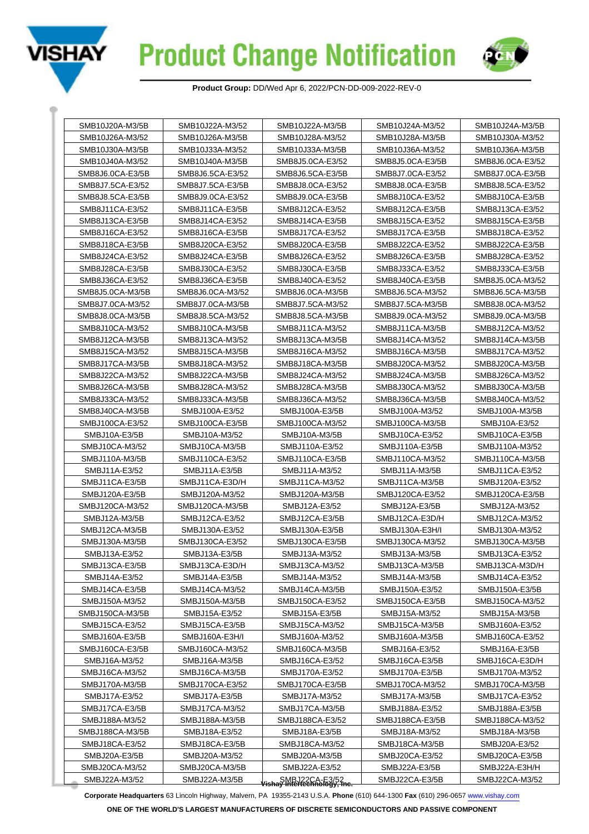



| SMB10J20A-M3/5B                  | SMB10J22A-M3/52                    | SMB10J22A-M3/5B                                       | SMB10J24A-M3/52  | SMB10J24A-M3/5B  |
|----------------------------------|------------------------------------|-------------------------------------------------------|------------------|------------------|
| SMB10J26A-M3/52                  | SMB10J26A-M3/5B<br>SMB10J28A-M3/52 |                                                       | SMB10J28A-M3/5B  | SMB10J30A-M3/52  |
| SMB10J30A-M3/5B                  | SMB10J33A-M3/52<br>SMB10J33A-M3/5B |                                                       | SMB10J36A-M3/52  | SMB10J36A-M3/5B  |
| SMB10J40A-M3/52                  | SMB10J40A-M3/5B                    | SMB8J5.0CA-E3/52                                      | SMB8J5.0CA-E3/5B | SMB8J6.0CA-E3/52 |
| SMB8J6.0CA-E3/5B                 | SMB8J6.5CA-E3/52                   | SMB8J6.5CA-E3/5B                                      | SMB8J7.0CA-E3/52 | SMB8J7.0CA-E3/5B |
| SMB8J7.5CA-E3/52                 | SMB8J7.5CA-E3/5B                   | SMB8J8.0CA-E3/52                                      | SMB8J8.0CA-E3/5B | SMB8J8.5CA-E3/52 |
| SMB8J8.5CA-E3/5B                 | SMB8J9.0CA-E3/52                   | SMB8J9.0CA-E3/5B                                      | SMB8J10CA-E3/52  | SMB8J10CA-E3/5B  |
| SMB8J11CA-E3/52                  | SMB8J11CA-E3/5B                    | SMB8J12CA-E3/52                                       | SMB8J12CA-E3/5B  | SMB8J13CA-E3/52  |
| SMB8J13CA-E3/5B                  | SMB8J14CA-E3/52                    | SMB8J14CA-E3/5B                                       | SMB8J15CA-E3/52  | SMB8J15CA-E3/5B  |
| SMB8J16CA-E3/52                  | SMB8J16CA-E3/5B                    | SMB8J17CA-E3/52                                       | SMB8J17CA-E3/5B  | SMB8J18CA-E3/52  |
| SMB8J18CA-E3/5B                  | SMB8J20CA-E3/52                    | SMB8J20CA-E3/5B                                       | SMB8J22CA-E3/52  | SMB8J22CA-E3/5B  |
| SMB8J24CA-E3/52                  | SMB8J24CA-E3/5B                    | SMB8J26CA-E3/52                                       | SMB8J26CA-E3/5B  | SMB8J28CA-E3/52  |
| SMB8J28CA-E3/5B                  | SMB8J30CA-E3/52                    | SMB8J30CA-E3/5B                                       | SMB8J33CA-E3/52  | SMB8J33CA-E3/5B  |
| SMB8J36CA-E3/52                  | SMB8J36CA-E3/5B                    | SMB8J40CA-E3/52                                       | SMB8J40CA-E3/5B  | SMB8J5.0CA-M3/52 |
| SMB8J5.0CA-M3/5B                 | SMB8J6.0CA-M3/52                   | SMB8J6.0CA-M3/5B                                      | SMB8J6.5CA-M3/52 | SMB8J6.5CA-M3/5B |
| SMB8J7.0CA-M3/52                 | SMB8J7.0CA-M3/5B                   | SMB8J7.5CA-M3/52                                      | SMB8J7.5CA-M3/5B | SMB8J8.0CA-M3/52 |
| SMB8J8.0CA-M3/5B                 | SMB8J8.5CA-M3/52                   | SMB8J8.5CA-M3/5B                                      | SMB8J9.0CA-M3/52 | SMB8J9.0CA-M3/5B |
| SMB8J10CA-M3/52                  | SMB8J10CA-M3/5B                    | SMB8J11CA-M3/52                                       | SMB8J11CA-M3/5B  | SMB8J12CA-M3/52  |
| SMB8J12CA-M3/5B                  | SMB8J13CA-M3/52                    | SMB8J13CA-M3/5B                                       | SMB8J14CA-M3/52  | SMB8J14CA-M3/5B  |
| SMB8J15CA-M3/52                  | SMB8J15CA-M3/5B                    | SMB8J16CA-M3/52                                       | SMB8J16CA-M3/5B  | SMB8J17CA-M3/52  |
| SMB8J17CA-M3/5B                  | SMB8J18CA-M3/52                    | SMB8J18CA-M3/5B                                       | SMB8J20CA-M3/52  | SMB8J20CA-M3/5B  |
| SMB8J22CA-M3/52                  | SMB8J22CA-M3/5B                    | SMB8J24CA-M3/52                                       | SMB8J24CA-M3/5B  | SMB8J26CA-M3/52  |
| SMB8J26CA-M3/5B                  | SMB8J28CA-M3/52                    | SMB8J28CA-M3/5B                                       | SMB8J30CA-M3/52  | SMB8J30CA-M3/5B  |
| SMB8J33CA-M3/52                  | SMB8J33CA-M3/5B                    | SMB8J36CA-M3/52                                       | SMB8J36CA-M3/5B  | SMB8J40CA-M3/52  |
| SMB8J40CA-M3/5B                  | SMBJ100A-E3/52                     | SMBJ100A-E3/5B                                        | SMBJ100A-M3/52   | SMBJ100A-M3/5B   |
| SMBJ100CA-E3/52                  | SMBJ100CA-E3/5B                    | SMBJ100CA-M3/52                                       | SMBJ100CA-M3/5B  | SMBJ10A-E3/52    |
| SMBJ10A-E3/5B                    | SMBJ10A-M3/52                      | SMBJ10A-M3/5B                                         | SMBJ10CA-E3/52   | SMBJ10CA-E3/5B   |
| SMBJ10CA-M3/52                   | SMBJ10CA-M3/5B                     | SMBJ110A-E3/52                                        | SMBJ110A-E3/5B   | SMBJ110A-M3/52   |
| SMBJ110A-M3/5B                   | SMBJ110CA-E3/52                    | SMBJ110CA-E3/5B                                       | SMBJ110CA-M3/52  | SMBJ110CA-M3/5B  |
| SMBJ11A-E3/52                    | SMBJ11A-E3/5B                      | SMBJ11A-M3/52                                         | SMBJ11A-M3/5B    | SMBJ11CA-E3/52   |
| SMBJ11CA-E3/5B                   | SMBJ11CA-E3D/H                     | SMBJ11CA-M3/52                                        | SMBJ11CA-M3/5B   | SMBJ120A-E3/52   |
| SMBJ120A-E3/5B                   | SMBJ120A-M3/52                     | SMBJ120A-M3/5B                                        | SMBJ120CA-E3/52  | SMBJ120CA-E3/5B  |
| SMBJ120CA-M3/52                  | SMBJ120CA-M3/5B                    | SMBJ12A-E3/52                                         | SMBJ12A-E3/5B    | SMBJ12A-M3/52    |
| SMBJ12A-M3/5B                    | SMBJ12CA-E3/52                     | SMBJ12CA-E3/5B                                        | SMBJ12CA-E3D/H   | SMBJ12CA-M3/52   |
| SMBJ12CA-M3/5B                   | SMBJ130A-E3/52                     | SMBJ130A-E3/5B                                        | SMBJ130A-E3H/I   | SMBJ130A-M3/52   |
| SMBJ130A-M3/5B                   | SMBJ130CA-E3/52                    | SMBJ130CA-E3/5B                                       | SMBJ130CA-M3/52  | SMBJ130CA-M3/5B  |
| SMBJ13A-E3/52                    | SMBJ13A-E3/5B                      | SMBJ13A-M3/52                                         | SMBJ13A-M3/5B    | SMBJ13CA-E3/52   |
| SMBJ13CA-E3/5B                   | SMBJ13CA-E3D/H                     | SMBJ13CA-M3/52                                        | SMBJ13CA-M3/5B   | SMBJ13CA-M3D/H   |
| SMBJ14A-E3/52                    | SMBJ14A-E3/5B                      | SMBJ14A-M3/52                                         | SMBJ14A-M3/5B    | SMBJ14CA-E3/52   |
| SMBJ14CA-E3/5B                   | SMBJ14CA-M3/52                     | SMBJ14CA-M3/5B                                        | SMBJ150A-E3/52   | SMBJ150A-E3/5B   |
| SMBJ150A-M3/52                   | SMBJ150A-M3/5B                     | SMBJ150CA-E3/52                                       | SMBJ150CA-E3/5B  | SMBJ150CA-M3/52  |
| SMBJ150CA-M3/5B<br>SMBJ15A-E3/52 |                                    | SMBJ15A-E3/5B                                         | SMBJ15A-M3/52    | SMBJ15A-M3/5B    |
| SMBJ15CA-E3/52                   | SMBJ15CA-E3/5B                     | SMBJ15CA-M3/52                                        | SMBJ15CA-M3/5B   | SMBJ160A-E3/52   |
| SMBJ160A-E3/5B                   | SMBJ160A-E3H/I                     | SMBJ160A-M3/52                                        | SMBJ160A-M3/5B   | SMBJ160CA-E3/52  |
| SMBJ160CA-E3/5B                  | SMBJ160CA-M3/52                    | SMBJ160CA-M3/5B                                       | SMBJ16A-E3/52    | SMBJ16A-E3/5B    |
| SMBJ16A-M3/52<br>SMBJ16A-M3/5B   |                                    | SMBJ16CA-E3/52                                        | SMBJ16CA-E3/5B   | SMBJ16CA-E3D/H   |
| SMBJ16CA-M3/52                   | SMBJ16CA-M3/5B                     | SMBJ170A-E3/52                                        | SMBJ170A-E3/5B   | SMBJ170A-M3/52   |
| SMBJ170A-M3/5B                   | SMBJ170CA-E3/52                    | SMBJ170CA-E3/5B                                       | SMBJ170CA-M3/52  | SMBJ170CA-M3/5B  |
| SMBJ17A-E3/52                    | SMBJ17A-E3/5B                      | SMBJ17A-M3/52                                         | SMBJ17A-M3/5B    | SMBJ17CA-E3/52   |
| SMBJ17CA-E3/5B                   | SMBJ17CA-M3/52                     | SMBJ17CA-M3/5B                                        | SMBJ188A-E3/52   | SMBJ188A-E3/5B   |
| SMBJ188A-M3/52                   | SMBJ188A-M3/5B                     | SMBJ188CA-E3/52                                       | SMBJ188CA-E3/5B  | SMBJ188CA-M3/52  |
| SMBJ188CA-M3/5B                  | SMBJ18A-E3/52                      | SMBJ18A-E3/5B                                         | SMBJ18A-M3/52    | SMBJ18A-M3/5B    |
| SMBJ18CA-E3/52                   | SMBJ18CA-E3/5B                     | SMBJ18CA-M3/52                                        | SMBJ18CA-M3/5B   | SMBJ20A-E3/52    |
| SMBJ20A-E3/5B                    | SMBJ20A-M3/52                      | SMBJ20A-M3/5B                                         | SMBJ20CA-E3/52   | SMBJ20CA-E3/5B   |
| SMBJ20CA-M3/52                   | SMBJ20CA-M3/5B                     | SMBJ22A-E3/52                                         | SMBJ22A-E3/5B    | SMBJ22A-E3H/H    |
| SMBJ22A-M3/52                    | SMBJ22A-M3/5B                      | SMBJ22CA-E3/52<br><b>Jishay Intertechnology, Inc.</b> | SMBJ22CA-E3/5B   | SMBJ22CA-M3/52   |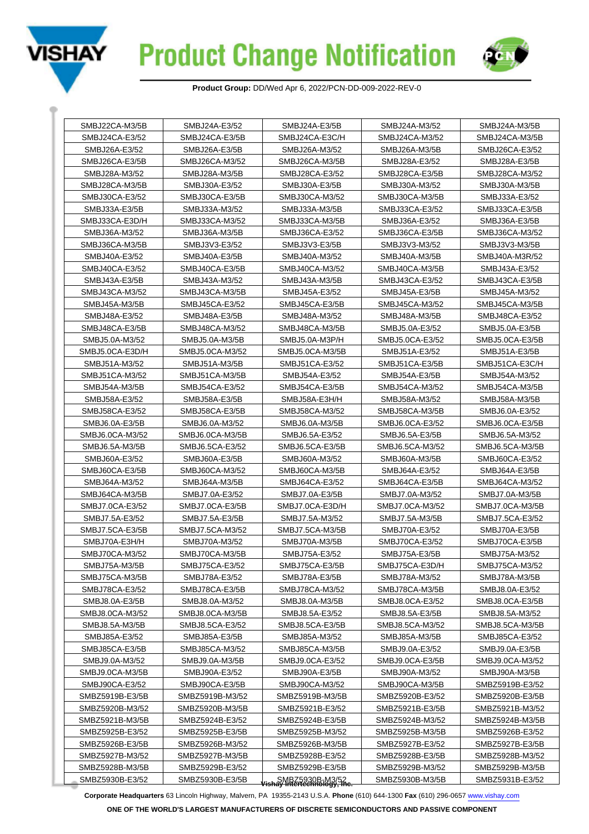



| SMBJ22CA-M3/5B  | SMBJ24A-E3/52                    | SMBJ24A-E3/5B                                          | SMBJ24A-M3/52   | SMBJ24A-M3/5B   |
|-----------------|----------------------------------|--------------------------------------------------------|-----------------|-----------------|
| SMBJ24CA-E3/52  | SMBJ24CA-E3/5B<br>SMBJ24CA-E3C/H |                                                        | SMBJ24CA-M3/52  | SMBJ24CA-M3/5B  |
| SMBJ26A-E3/52   | SMBJ26A-E3/5B                    | SMBJ26A-M3/52                                          | SMBJ26A-M3/5B   | SMBJ26CA-E3/52  |
| SMBJ26CA-E3/5B  | SMBJ26CA-M3/52                   | SMBJ26CA-M3/5B                                         | SMBJ28A-E3/52   | SMBJ28A-E3/5B   |
| SMBJ28A-M3/52   | SMBJ28A-M3/5B                    | SMBJ28CA-E3/52                                         | SMBJ28CA-E3/5B  | SMBJ28CA-M3/52  |
| SMBJ28CA-M3/5B  | SMBJ30A-E3/52                    | SMBJ30A-E3/5B                                          | SMBJ30A-M3/52   | SMBJ30A-M3/5B   |
| SMBJ30CA-E3/52  | SMBJ30CA-E3/5B                   | SMBJ30CA-M3/52                                         | SMBJ30CA-M3/5B  | SMBJ33A-E3/52   |
| SMBJ33A-E3/5B   | SMBJ33A-M3/52                    | SMBJ33A-M3/5B                                          | SMBJ33CA-E3/52  | SMBJ33CA-E3/5B  |
| SMBJ33CA-E3D/H  | SMBJ33CA-M3/52                   | SMBJ33CA-M3/5B                                         | SMBJ36A-E3/52   | SMBJ36A-E3/5B   |
| SMBJ36A-M3/52   | SMBJ36A-M3/5B                    | SMBJ36CA-E3/52                                         | SMBJ36CA-E3/5B  | SMBJ36CA-M3/52  |
| SMBJ36CA-M3/5B  | SMBJ3V3-E3/52                    | SMBJ3V3-E3/5B                                          | SMBJ3V3-M3/52   | SMBJ3V3-M3/5B   |
| SMBJ40A-E3/52   | SMBJ40A-E3/5B                    | SMBJ40A-M3/52                                          | SMBJ40A-M3/5B   | SMBJ40A-M3R/52  |
| SMBJ40CA-E3/52  | SMBJ40CA-E3/5B                   | SMBJ40CA-M3/52                                         | SMBJ40CA-M3/5B  | SMBJ43A-E3/52   |
| SMBJ43A-E3/5B   | SMBJ43A-M3/52                    | SMBJ43A-M3/5B                                          | SMBJ43CA-E3/52  | SMBJ43CA-E3/5B  |
| SMBJ43CA-M3/52  | SMBJ43CA-M3/5B                   | SMBJ45A-E3/52                                          | SMBJ45A-E3/5B   | SMBJ45A-M3/52   |
| SMBJ45A-M3/5B   | SMBJ45CA-E3/52                   | SMBJ45CA-E3/5B                                         | SMBJ45CA-M3/52  | SMBJ45CA-M3/5B  |
| SMBJ48A-E3/52   | SMBJ48A-E3/5B                    | SMBJ48A-M3/52                                          | SMBJ48A-M3/5B   | SMBJ48CA-E3/52  |
| SMBJ48CA-E3/5B  | SMBJ48CA-M3/52                   | SMBJ48CA-M3/5B                                         | SMBJ5.0A-E3/52  | SMBJ5.0A-E3/5B  |
| SMBJ5.0A-M3/52  | SMBJ5.0A-M3/5B                   | SMBJ5.0A-M3P/H                                         | SMBJ5.0CA-E3/52 | SMBJ5.0CA-E3/5B |
| SMBJ5.0CA-E3D/H | SMBJ5.0CA-M3/52                  | SMBJ5.0CA-M3/5B                                        | SMBJ51A-E3/52   | SMBJ51A-E3/5B   |
| SMBJ51A-M3/52   | SMBJ51A-M3/5B                    | SMBJ51CA-E3/52                                         | SMBJ51CA-E3/5B  | SMBJ51CA-E3C/H  |
| SMBJ51CA-M3/52  | SMBJ51CA-M3/5B                   | SMBJ54A-E3/52                                          | SMBJ54A-E3/5B   | SMBJ54A-M3/52   |
| SMBJ54A-M3/5B   | SMBJ54CA-E3/52                   | SMBJ54CA-E3/5B                                         | SMBJ54CA-M3/52  | SMBJ54CA-M3/5B  |
| SMBJ58A-E3/52   | SMBJ58A-E3/5B                    | SMBJ58A-E3H/H                                          | SMBJ58A-M3/52   | SMBJ58A-M3/5B   |
| SMBJ58CA-E3/52  | SMBJ58CA-E3/5B                   | SMBJ58CA-M3/52                                         | SMBJ58CA-M3/5B  | SMBJ6.0A-E3/52  |
| SMBJ6.0A-E3/5B  | SMBJ6.0A-M3/52                   | SMBJ6.0A-M3/5B                                         | SMBJ6.0CA-E3/52 | SMBJ6.0CA-E3/5B |
| SMBJ6.0CA-M3/52 | SMBJ6.0CA-M3/5B                  | SMBJ6.5A-E3/52                                         | SMBJ6.5A-E3/5B  | SMBJ6.5A-M3/52  |
| SMBJ6.5A-M3/5B  | SMBJ6.5CA-E3/52                  | SMBJ6.5CA-E3/5B                                        | SMBJ6.5CA-M3/52 | SMBJ6.5CA-M3/5B |
| SMBJ60A-E3/52   | SMBJ60A-E3/5B                    | SMBJ60A-M3/52                                          | SMBJ60A-M3/5B   | SMBJ60CA-E3/52  |
| SMBJ60CA-E3/5B  | SMBJ60CA-M3/52                   | SMBJ60CA-M3/5B                                         | SMBJ64A-E3/52   | SMBJ64A-E3/5B   |
| SMBJ64A-M3/52   | SMBJ64A-M3/5B                    | SMBJ64CA-E3/52                                         | SMBJ64CA-E3/5B  | SMBJ64CA-M3/52  |
| SMBJ64CA-M3/5B  | SMBJ7.0A-E3/52                   | SMBJ7.0A-E3/5B                                         | SMBJ7.0A-M3/52  | SMBJ7.0A-M3/5B  |
| SMBJ7.0CA-E3/52 | SMBJ7.0CA-E3/5B                  | SMBJ7.0CA-E3D/H                                        | SMBJ7.0CA-M3/52 | SMBJ7.0CA-M3/5B |
| SMBJ7.5A-E3/52  | SMBJ7.5A-E3/5B                   | SMBJ7.5A-M3/52                                         | SMBJ7.5A-M3/5B  | SMBJ7.5CA-E3/52 |
| SMBJ7.5CA-E3/5B | SMBJ7.5CA-M3/52                  | SMBJ7.5CA-M3/5B                                        | SMBJ70A-E3/52   | SMBJ70A-E3/5B   |
| SMBJ70A-E3H/H   | SMBJ70A-M3/52                    | SMBJ70A-M3/5B                                          | SMBJ70CA-E3/52  | SMBJ70CA-E3/5B  |
| SMBJ70CA-M3/52  | SMBJ70CA-M3/5B                   | SMBJ75A-E3/52                                          | SMBJ75A-E3/5B   | SMBJ75A-M3/52   |
| SMBJ75A-M3/5B   | SMBJ75CA-E3/52                   | SMBJ75CA-E3/5B                                         | SMBJ75CA-E3D/H  | SMBJ75CA-M3/52  |
| SMBJ75CA-M3/5B  | SMBJ78A-E3/52                    | SMBJ78A-E3/5B                                          | SMBJ78A-M3/52   | SMBJ78A-M3/5B   |
| SMBJ78CA-E3/52  | SMBJ78CA-E3/5B                   | SMBJ78CA-M3/52                                         | SMBJ78CA-M3/5B  | SMBJ8.0A-E3/52  |
| SMBJ8.0A-E3/5B  | SMBJ8.0A-M3/52                   | SMBJ8.0A-M3/5B                                         | SMBJ8.0CA-E3/52 | SMBJ8.0CA-E3/5B |
| SMBJ8.0CA-M3/52 | SMBJ8.0CA-M3/5B                  | SMBJ8.5A-E3/52                                         | SMBJ8.5A-E3/5B  | SMBJ8.5A-M3/52  |
| SMBJ8.5A-M3/5B  | SMBJ8.5CA-E3/52                  | SMBJ8.5CA-E3/5B                                        | SMBJ8.5CA-M3/52 | SMBJ8.5CA-M3/5B |
| SMBJ85A-E3/52   | SMBJ85A-E3/5B                    | SMBJ85A-M3/52                                          | SMBJ85A-M3/5B   | SMBJ85CA-E3/52  |
| SMBJ85CA-E3/5B  | SMBJ85CA-M3/52                   | SMBJ85CA-M3/5B                                         | SMBJ9.0A-E3/52  | SMBJ9.0A-E3/5B  |
| SMBJ9.0A-M3/52  | SMBJ9.0A-M3/5B                   | SMBJ9.0CA-E3/52                                        | SMBJ9.0CA-E3/5B | SMBJ9.0CA-M3/52 |
| SMBJ9.0CA-M3/5B | SMBJ90A-E3/52                    | SMBJ90A-E3/5B                                          | SMBJ90A-M3/52   | SMBJ90A-M3/5B   |
| SMBJ90CA-E3/52  | SMBJ90CA-E3/5B                   | SMBJ90CA-M3/52                                         | SMBJ90CA-M3/5B  | SMBZ5919B-E3/52 |
| SMBZ5919B-E3/5B | SMBZ5919B-M3/52                  | SMBZ5919B-M3/5B                                        | SMBZ5920B-E3/52 | SMBZ5920B-E3/5B |
| SMBZ5920B-M3/52 | SMBZ5920B-M3/5B                  | SMBZ5921B-E3/52                                        | SMBZ5921B-E3/5B | SMBZ5921B-M3/52 |
| SMBZ5921B-M3/5B | SMBZ5924B-E3/52                  | SMBZ5924B-E3/5B                                        | SMBZ5924B-M3/52 | SMBZ5924B-M3/5B |
| SMBZ5925B-E3/52 | SMBZ5925B-E3/5B                  | SMBZ5925B-M3/52                                        | SMBZ5925B-M3/5B | SMBZ5926B-E3/52 |
| SMBZ5926B-E3/5B | SMBZ5926B-M3/52                  | SMBZ5926B-M3/5B                                        | SMBZ5927B-E3/52 | SMBZ5927B-E3/5B |
| SMBZ5927B-M3/52 | SMBZ5927B-M3/5B                  | SMBZ5928B-E3/52                                        | SMBZ5928B-E3/5B | SMBZ5928B-M3/52 |
| SMBZ5928B-M3/5B | SMBZ5929B-E3/52                  | SMBZ5929B-E3/5B                                        | SMBZ5929B-M3/52 | SMBZ5929B-M3/5B |
| SMBZ5930B-E3/52 | SMBZ5930B-E3/5B                  | SMBZ5930B-M3/52<br><b>Vishay Intertechnology, Inc.</b> | SMBZ5930B-M3/5B | SMBZ5931B-E3/52 |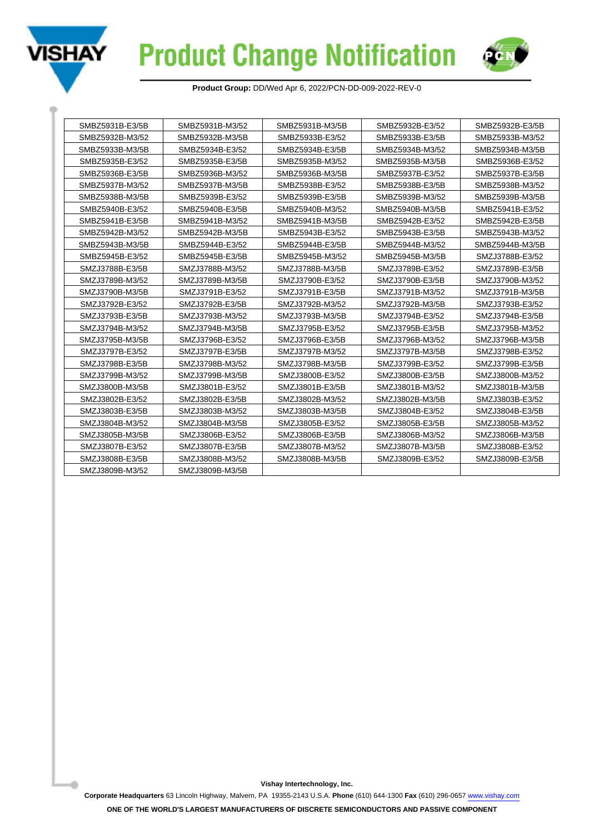



| SMBZ5931B-E3/5B<br>SMBZ5931B-M3/52<br>SMBZ5931B-M3/5B |                                    | SMBZ5932B-E3/52 | SMBZ5932B-E3/5B |                 |                 |
|-------------------------------------------------------|------------------------------------|-----------------|-----------------|-----------------|-----------------|
|                                                       | SMBZ5932B-M3/52<br>SMBZ5932B-M3/5B |                 | SMBZ5933B-E3/52 | SMBZ5933B-E3/5B | SMBZ5933B-M3/52 |
|                                                       | SMBZ5933B-M3/5B                    | SMBZ5934B-E3/52 | SMBZ5934B-E3/5B | SMBZ5934B-M3/52 | SMBZ5934B-M3/5B |
|                                                       | SMBZ5935B-E3/52                    | SMBZ5935B-E3/5B | SMBZ5935B-M3/52 | SMBZ5935B-M3/5B | SMBZ5936B-E3/52 |
|                                                       | SMBZ5936B-E3/5B                    | SMBZ5936B-M3/52 | SMBZ5936B-M3/5B | SMBZ5937B-E3/52 | SMBZ5937B-E3/5B |
|                                                       | SMBZ5937B-M3/52                    | SMBZ5937B-M3/5B | SMBZ5938B-E3/52 | SMBZ5938B-E3/5B | SMBZ5938B-M3/52 |
|                                                       | SMBZ5938B-M3/5B                    | SMBZ5939B-E3/52 | SMBZ5939B-E3/5B | SMBZ5939B-M3/52 | SMBZ5939B-M3/5B |
|                                                       | SMBZ5940B-E3/52                    | SMBZ5940B-E3/5B | SMBZ5940B-M3/52 | SMBZ5940B-M3/5B | SMBZ5941B-E3/52 |
|                                                       | SMBZ5941B-E3/5B                    | SMBZ5941B-M3/52 | SMBZ5941B-M3/5B | SMBZ5942B-E3/52 | SMBZ5942B-E3/5B |
|                                                       | SMBZ5942B-M3/52                    | SMBZ5942B-M3/5B | SMBZ5943B-E3/52 | SMBZ5943B-E3/5B | SMBZ5943B-M3/52 |
|                                                       | SMBZ5943B-M3/5B                    | SMBZ5944B-E3/52 | SMBZ5944B-E3/5B | SMBZ5944B-M3/52 | SMBZ5944B-M3/5B |
|                                                       | SMBZ5945B-E3/52                    | SMBZ5945B-E3/5B | SMBZ5945B-M3/52 | SMBZ5945B-M3/5B | SMZJ3788B-E3/52 |
|                                                       | SMZJ3788B-F3/5B                    | SMZJ3788B-M3/52 | SMZJ3788B-M3/5B | SMZJ3789B-E3/52 | SMZJ3789B-E3/5B |
|                                                       | SMZJ3789B-M3/52                    | SMZJ3789B-M3/5B | SMZJ3790B-E3/52 | SMZJ3790B-E3/5B | SMZJ3790B-M3/52 |
|                                                       | SMZJ3790B-M3/5B                    | SMZJ3791B-E3/52 | SMZJ3791B-E3/5B | SMZJ3791B-M3/52 | SMZJ3791B-M3/5B |
|                                                       | SMZJ3792B-E3/52                    | SMZJ3792B-E3/5B | SMZJ3792B-M3/52 | SMZJ3792B-M3/5B | SMZJ3793B-E3/52 |
|                                                       | SMZJ3793B-E3/5B                    | SMZJ3793B-M3/52 | SMZJ3793B-M3/5B | SMZJ3794B-E3/52 | SMZJ3794B-E3/5B |
|                                                       | SMZJ3794B-M3/52                    | SMZJ3794B-M3/5B | SMZJ3795B-E3/52 | SMZJ3795B-E3/5B | SMZJ3795B-M3/52 |
|                                                       | SMZJ3795B-M3/5B                    | SMZJ3796B-E3/52 | SMZJ3796B-E3/5B | SMZJ3796B-M3/52 | SMZJ3796B-M3/5B |
|                                                       | SMZJ3797B-E3/52                    | SMZJ3797B-E3/5B | SMZJ3797B-M3/52 | SMZJ3797B-M3/5B | SMZJ3798B-E3/52 |
|                                                       | SMZJ3798B-E3/5B                    | SMZJ3798B-M3/52 | SMZJ3798B-M3/5B | SMZJ3799B-E3/52 | SMZJ3799B-E3/5B |
|                                                       | SMZJ3799B-M3/52                    | SMZJ3799B-M3/5B | SMZJ3800B-E3/52 | SMZJ3800B-E3/5B | SMZJ3800B-M3/52 |
|                                                       | SMZJ3800B-M3/5B                    | SMZJ3801B-E3/52 | SMZJ3801B-E3/5B | SMZJ3801B-M3/52 | SMZJ3801B-M3/5B |
|                                                       | SMZJ3802B-E3/52                    | SMZJ3802B-E3/5B | SMZJ3802B-M3/52 | SMZJ3802B-M3/5B | SMZJ3803B-E3/52 |
|                                                       | SMZJ3803B-E3/5B<br>SMZJ3803B-M3/52 |                 | SMZJ3803B-M3/5B | SMZJ3804B-E3/52 | SMZJ3804B-E3/5B |
|                                                       | SMZJ3804B-M3/52                    | SMZJ3804B-M3/5B | SMZJ3805B-E3/52 | SMZJ3805B-E3/5B | SMZJ3805B-M3/52 |
|                                                       | SMZJ3805B-M3/5B                    | SMZJ3806B-E3/52 | SMZJ3806B-E3/5B | SMZJ3806B-M3/52 | SMZJ3806B-M3/5B |
|                                                       | SMZJ3807B-E3/52                    | SMZJ3807B-E3/5B | SMZJ3807B-M3/52 | SMZJ3807B-M3/5B | SMZJ3808B-E3/52 |
|                                                       | SMZJ3808B-E3/5B                    | SMZJ3808B-M3/52 | SMZJ3808B-M3/5B | SMZJ3809B-E3/52 | SMZJ3809B-E3/5B |
|                                                       | SMZJ3809B-M3/52                    | SMZJ3809B-M3/5B |                 |                 |                 |

**Vishay Intertechnology, Inc.**

**Corporate Headquarters** 63 Lincoln Highway, Malvern, PA 19355-2143 U.S.A. **Phone** (610) 644-1300 **Fax** (610) 296-0657 [www.vishay.com](https://www.vishay.com)

**ONE OF THE WORLD'S LARGEST MANUFACTURERS OF DISCRETE SEMICONDUCTORS AND PASSIVE COMPONENT**